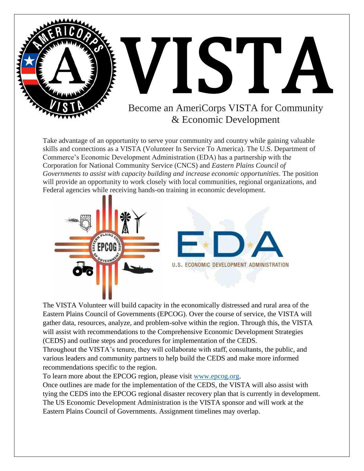

The VISTA Volunteer will build capacity in the economically distressed and rural area of the Eastern Plains Council of Governments (EPCOG). Over the course of service, the VISTA will gather data, resources, analyze, and problem-solve within the region. Through this, the VISTA will assist with recommendations to the Comprehensive Economic Development Strategies (CEDS) and outline steps and procedures for implementation of the CEDS.

Throughout the VISTA's tenure, they will collaborate with staff, consultants, the public, and various leaders and community partners to help build the CEDS and make more informed recommendations specific to the region.

To learn more about the EPCOG region, please visit [www.epcog.org.](http://www.epcog.org/)

Once outlines are made for the implementation of the CEDS, the VISTA will also assist with tying the CEDS into the EPCOG regional disaster recovery plan that is currently in development. The US Economic Development Administration is the VISTA sponsor and will work at the Eastern Plains Council of Governments. Assignment timelines may overlap.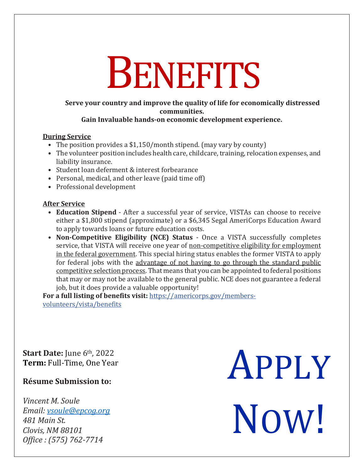# **BENEFITS**

### **Serve your country and improve the quality of life for economically distressed communities.**

#### **Gain Invaluable hands-on economic development experience.**

#### **During Service**

- The position provides a \$1,150/month stipend. (may vary by county)
- The volunteer position includes health care, childcare, training, relocation expenses, and liability insurance.
- Student loan deferment & interest forbearance
- Personal, medical, and other leave (paid time off)
- Professional development

#### **After Service**

- **Education Stipend**  After a successful year of service, VISTAs can choose to receive either a \$1,800 stipend (approximate) or a \$6,345 Segal AmeriCorps Education Award to apply towards loans or future education costs.
- **Non-Competitive Eligibility (NCE) Status**  Once a VISTA successfully completes service, that VISTA will receive one year of non-competitive eligibility for employment in the federal government. This special hiring status enables the former VISTA to apply for federal jobs with the advantage of not having to go through the standard public competitive selection process. That means that you can be appointed to federal positions that may or may not be available to the general public. NCE does not guarantee a federal job, but it does provide a valuable opportunity!

**For a full listing of benefits visit:** [https://americorps.gov/members](https://americorps.gov/members-volunteers/vista/benefits)[volunteers/vista/benefits](https://americorps.gov/members-volunteers/vista/benefits)

**Start Date:** June 6<sup>th</sup>, 2022 **Term:** Full-Time, One Year

## **Résume Submission to:**

*Vincent M. Soule Email: [vsoule@epcog.org](mailto:vsoule@epcog.org) 481 Main St. Clovis, NM 88101 Office : (575) 762-7714*

APPLY NOW!